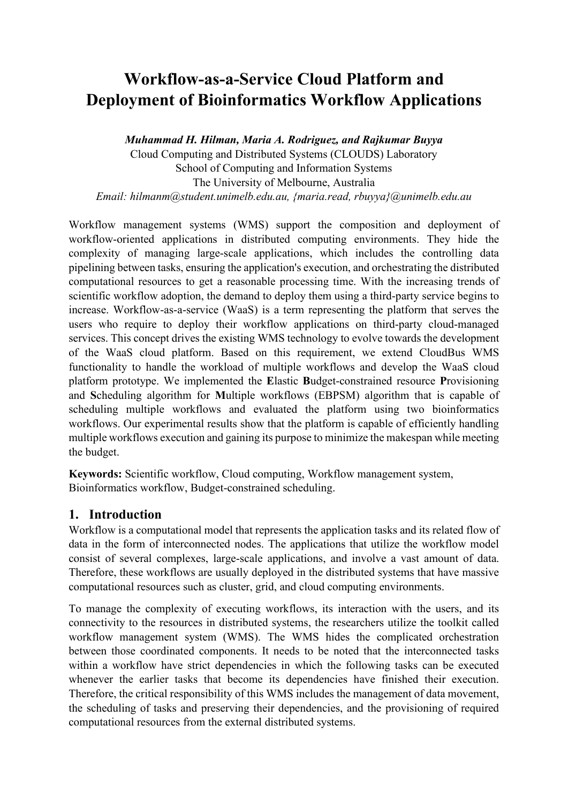# **Workflow-as-a-Service Cloud Platform and Deployment of Bioinformatics Workflow Applications**

*Muhammad H. Hilman, Maria A. Rodriguez, and Rajkumar Buyya* Cloud Computing and Distributed Systems (CLOUDS) Laboratory School of Computing and Information Systems The University of Melbourne, Australia *Email: hilmanm@student.unimelb.edu.au, {maria.read, rbuyya}@unimelb.edu.au* 

Workflow management systems (WMS) support the composition and deployment of workflow-oriented applications in distributed computing environments. They hide the complexity of managing large-scale applications, which includes the controlling data pipelining between tasks, ensuring the application's execution, and orchestrating the distributed computational resources to get a reasonable processing time. With the increasing trends of scientific workflow adoption, the demand to deploy them using a third-party service begins to increase. Workflow-as-a-service (WaaS) is a term representing the platform that serves the users who require to deploy their workflow applications on third-party cloud-managed services. This concept drives the existing WMS technology to evolve towards the development of the WaaS cloud platform. Based on this requirement, we extend CloudBus WMS functionality to handle the workload of multiple workflows and develop the WaaS cloud platform prototype. We implemented the **E**lastic **B**udget-constrained resource **P**rovisioning and **S**cheduling algorithm for **M**ultiple workflows (EBPSM) algorithm that is capable of scheduling multiple workflows and evaluated the platform using two bioinformatics workflows. Our experimental results show that the platform is capable of efficiently handling multiple workflows execution and gaining its purpose to minimize the makespan while meeting the budget.

**Keywords:** Scientific workflow, Cloud computing, Workflow management system, Bioinformatics workflow, Budget-constrained scheduling.

# **1. Introduction**

Workflow is a computational model that represents the application tasks and its related flow of data in the form of interconnected nodes. The applications that utilize the workflow model consist of several complexes, large-scale applications, and involve a vast amount of data. Therefore, these workflows are usually deployed in the distributed systems that have massive computational resources such as cluster, grid, and cloud computing environments.

To manage the complexity of executing workflows, its interaction with the users, and its connectivity to the resources in distributed systems, the researchers utilize the toolkit called workflow management system (WMS). The WMS hides the complicated orchestration between those coordinated components. It needs to be noted that the interconnected tasks within a workflow have strict dependencies in which the following tasks can be executed whenever the earlier tasks that become its dependencies have finished their execution. Therefore, the critical responsibility of this WMS includes the management of data movement, the scheduling of tasks and preserving their dependencies, and the provisioning of required computational resources from the external distributed systems.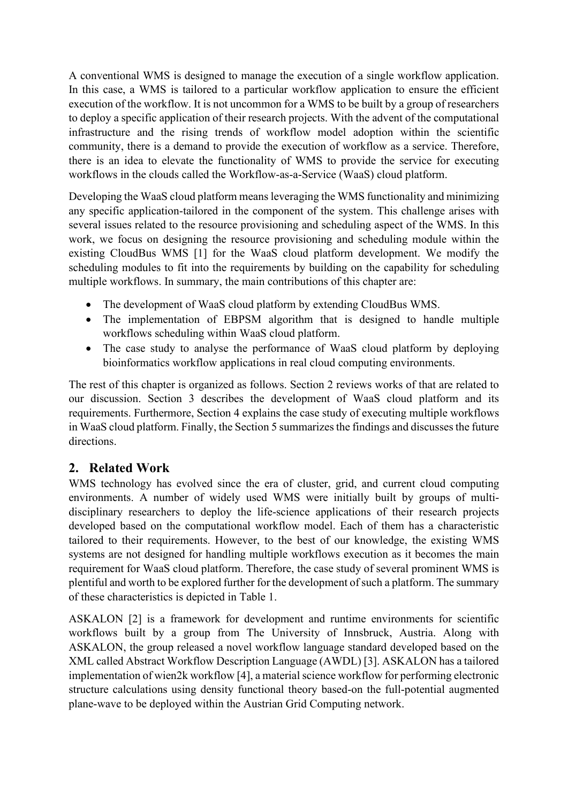A conventional WMS is designed to manage the execution of a single workflow application. In this case, a WMS is tailored to a particular workflow application to ensure the efficient execution of the workflow. It is not uncommon for a WMS to be built by a group of researchers to deploy a specific application of their research projects. With the advent of the computational infrastructure and the rising trends of workflow model adoption within the scientific community, there is a demand to provide the execution of workflow as a service. Therefore, there is an idea to elevate the functionality of WMS to provide the service for executing workflows in the clouds called the Workflow-as-a-Service (WaaS) cloud platform.

Developing the WaaS cloud platform means leveraging the WMS functionality and minimizing any specific application-tailored in the component of the system. This challenge arises with several issues related to the resource provisioning and scheduling aspect of the WMS. In this work, we focus on designing the resource provisioning and scheduling module within the existing CloudBus WMS [1] for the WaaS cloud platform development. We modify the scheduling modules to fit into the requirements by building on the capability for scheduling multiple workflows. In summary, the main contributions of this chapter are:

- The development of WaaS cloud platform by extending CloudBus WMS.
- The implementation of EBPSM algorithm that is designed to handle multiple workflows scheduling within WaaS cloud platform.
- The case study to analyse the performance of WaaS cloud platform by deploying bioinformatics workflow applications in real cloud computing environments.

The rest of this chapter is organized as follows. Section 2 reviews works of that are related to our discussion. Section 3 describes the development of WaaS cloud platform and its requirements. Furthermore, Section 4 explains the case study of executing multiple workflows in WaaS cloud platform. Finally, the Section 5 summarizes the findings and discusses the future directions.

# **2. Related Work**

WMS technology has evolved since the era of cluster, grid, and current cloud computing environments. A number of widely used WMS were initially built by groups of multidisciplinary researchers to deploy the life-science applications of their research projects developed based on the computational workflow model. Each of them has a characteristic tailored to their requirements. However, to the best of our knowledge, the existing WMS systems are not designed for handling multiple workflows execution as it becomes the main requirement for WaaS cloud platform. Therefore, the case study of several prominent WMS is plentiful and worth to be explored further for the development of such a platform. The summary of these characteristics is depicted in Table 1.

ASKALON [2] is a framework for development and runtime environments for scientific workflows built by a group from The University of Innsbruck, Austria. Along with ASKALON, the group released a novel workflow language standard developed based on the XML called Abstract Workflow Description Language (AWDL) [3]. ASKALON has a tailored implementation of wien2k workflow [4], a material science workflow for performing electronic structure calculations using density functional theory based-on the full-potential augmented plane-wave to be deployed within the Austrian Grid Computing network.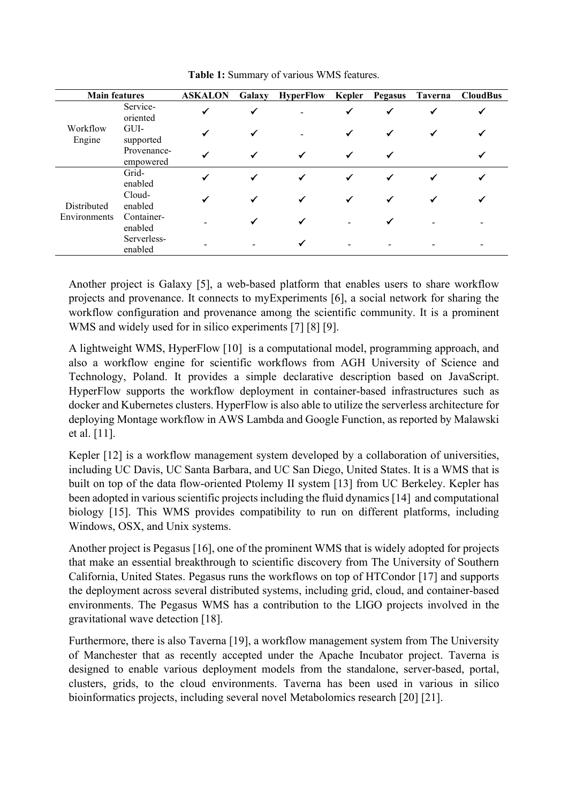| <b>Main features</b>        |                          | <b>ASKALON</b> | Galaxy       | <b>HyperFlow</b> | Kepler | Pegasus      | Taverna | <b>CloudBus</b> |
|-----------------------------|--------------------------|----------------|--------------|------------------|--------|--------------|---------|-----------------|
| Workflow<br>Engine          | Service-<br>oriented     | ✔              | $\checkmark$ |                  | ✓      | $\checkmark$ | √       | √               |
|                             | GUI-<br>supported        | ✔              | ✔            |                  | ✓      | ✔            |         |                 |
|                             | Provenance-<br>empowered | ✓              | $\checkmark$ | $\checkmark$     | ✓      | ✔            |         |                 |
| Distributed<br>Environments | Grid-<br>enabled         |                | ✔            | ✔                | ✓      |              |         |                 |
|                             | Cloud-<br>enabled        | √              | ✔            | ✓                | ✓      |              |         |                 |
|                             | Container-<br>enabled    |                |              | ✔                |        |              |         |                 |
|                             | Serverless-<br>enabled   |                |              | ✔                |        |              |         |                 |

**Table 1:** Summary of various WMS features.

Another project is Galaxy [5], a web-based platform that enables users to share workflow projects and provenance. It connects to myExperiments [6], a social network for sharing the workflow configuration and provenance among the scientific community. It is a prominent WMS and widely used for in silico experiments [7] [8] [9].

A lightweight WMS, HyperFlow [10] is a computational model, programming approach, and also a workflow engine for scientific workflows from AGH University of Science and Technology, Poland. It provides a simple declarative description based on JavaScript. HyperFlow supports the workflow deployment in container-based infrastructures such as docker and Kubernetes clusters. HyperFlow is also able to utilize the serverless architecture for deploying Montage workflow in AWS Lambda and Google Function, as reported by Malawski et al. [11].

Kepler [12] is a workflow management system developed by a collaboration of universities, including UC Davis, UC Santa Barbara, and UC San Diego, United States. It is a WMS that is built on top of the data flow-oriented Ptolemy II system [13] from UC Berkeley. Kepler has been adopted in various scientific projects including the fluid dynamics [14] and computational biology [15]. This WMS provides compatibility to run on different platforms, including Windows, OSX, and Unix systems.

Another project is Pegasus [16], one of the prominent WMS that is widely adopted for projects that make an essential breakthrough to scientific discovery from The University of Southern California, United States. Pegasus runs the workflows on top of HTCondor [17] and supports the deployment across several distributed systems, including grid, cloud, and container-based environments. The Pegasus WMS has a contribution to the LIGO projects involved in the gravitational wave detection [18].

Furthermore, there is also Taverna [19], a workflow management system from The University of Manchester that as recently accepted under the Apache Incubator project. Taverna is designed to enable various deployment models from the standalone, server-based, portal, clusters, grids, to the cloud environments. Taverna has been used in various in silico bioinformatics projects, including several novel Metabolomics research [20] [21].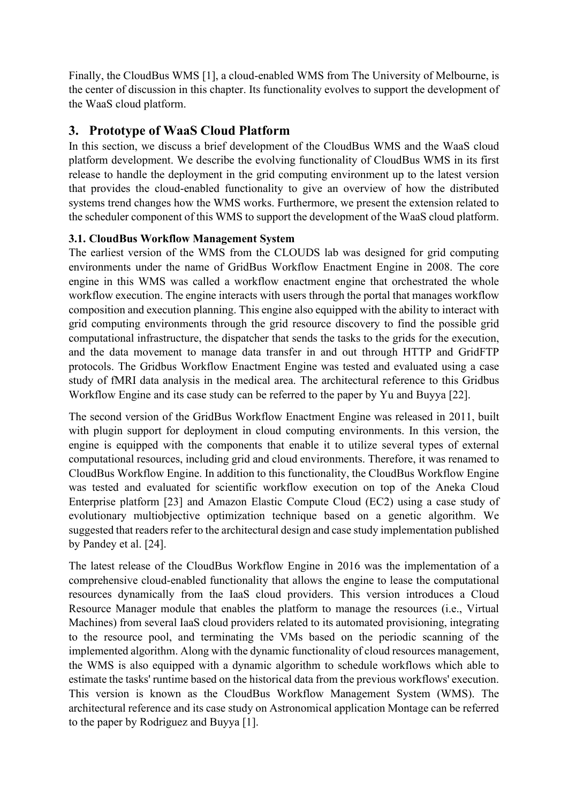Finally, the CloudBus WMS [1], a cloud-enabled WMS from The University of Melbourne, is the center of discussion in this chapter. Its functionality evolves to support the development of the WaaS cloud platform.

# **3. Prototype of WaaS Cloud Platform**

In this section, we discuss a brief development of the CloudBus WMS and the WaaS cloud platform development. We describe the evolving functionality of CloudBus WMS in its first release to handle the deployment in the grid computing environment up to the latest version that provides the cloud-enabled functionality to give an overview of how the distributed systems trend changes how the WMS works. Furthermore, we present the extension related to the scheduler component of this WMS to support the development of the WaaS cloud platform.

## **3.1. CloudBus Workflow Management System**

The earliest version of the WMS from the CLOUDS lab was designed for grid computing environments under the name of GridBus Workflow Enactment Engine in 2008. The core engine in this WMS was called a workflow enactment engine that orchestrated the whole workflow execution. The engine interacts with users through the portal that manages workflow composition and execution planning. This engine also equipped with the ability to interact with grid computing environments through the grid resource discovery to find the possible grid computational infrastructure, the dispatcher that sends the tasks to the grids for the execution, and the data movement to manage data transfer in and out through HTTP and GridFTP protocols. The Gridbus Workflow Enactment Engine was tested and evaluated using a case study of fMRI data analysis in the medical area. The architectural reference to this Gridbus Workflow Engine and its case study can be referred to the paper by Yu and Buyya [22].

The second version of the GridBus Workflow Enactment Engine was released in 2011, built with plugin support for deployment in cloud computing environments. In this version, the engine is equipped with the components that enable it to utilize several types of external computational resources, including grid and cloud environments. Therefore, it was renamed to CloudBus Workflow Engine. In addition to this functionality, the CloudBus Workflow Engine was tested and evaluated for scientific workflow execution on top of the Aneka Cloud Enterprise platform [23] and Amazon Elastic Compute Cloud (EC2) using a case study of evolutionary multiobjective optimization technique based on a genetic algorithm. We suggested that readers refer to the architectural design and case study implementation published by Pandey et al. [24].

The latest release of the CloudBus Workflow Engine in 2016 was the implementation of a comprehensive cloud-enabled functionality that allows the engine to lease the computational resources dynamically from the IaaS cloud providers. This version introduces a Cloud Resource Manager module that enables the platform to manage the resources (i.e., Virtual Machines) from several IaaS cloud providers related to its automated provisioning, integrating to the resource pool, and terminating the VMs based on the periodic scanning of the implemented algorithm. Along with the dynamic functionality of cloud resources management, the WMS is also equipped with a dynamic algorithm to schedule workflows which able to estimate the tasks' runtime based on the historical data from the previous workflows' execution. This version is known as the CloudBus Workflow Management System (WMS). The architectural reference and its case study on Astronomical application Montage can be referred to the paper by Rodriguez and Buyya [1].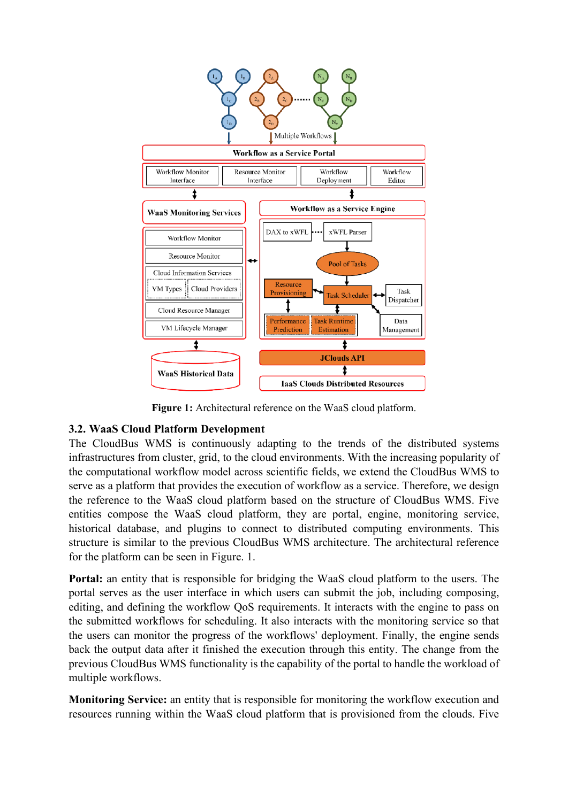

**Figure 1:** Architectural reference on the WaaS cloud platform.

# **3.2. WaaS Cloud Platform Development**

The CloudBus WMS is continuously adapting to the trends of the distributed systems infrastructures from cluster, grid, to the cloud environments. With the increasing popularity of the computational workflow model across scientific fields, we extend the CloudBus WMS to serve as a platform that provides the execution of workflow as a service. Therefore, we design the reference to the WaaS cloud platform based on the structure of CloudBus WMS. Five entities compose the WaaS cloud platform, they are portal, engine, monitoring service, historical database, and plugins to connect to distributed computing environments. This structure is similar to the previous CloudBus WMS architecture. The architectural reference for the platform can be seen in Figure. 1.

**Portal:** an entity that is responsible for bridging the WaaS cloud platform to the users. The portal serves as the user interface in which users can submit the job, including composing, editing, and defining the workflow QoS requirements. It interacts with the engine to pass on the submitted workflows for scheduling. It also interacts with the monitoring service so that the users can monitor the progress of the workflows' deployment. Finally, the engine sends back the output data after it finished the execution through this entity. The change from the previous CloudBus WMS functionality is the capability of the portal to handle the workload of multiple workflows.

**Monitoring Service:** an entity that is responsible for monitoring the workflow execution and resources running within the WaaS cloud platform that is provisioned from the clouds. Five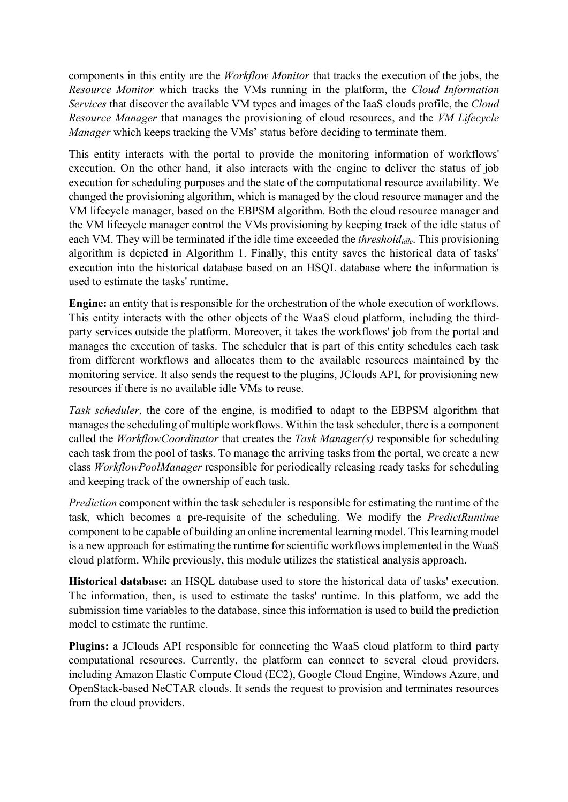components in this entity are the *Workflow Monitor* that tracks the execution of the jobs, the *Resource Monitor* which tracks the VMs running in the platform, the *Cloud Information Services* that discover the available VM types and images of the IaaS clouds profile, the *Cloud Resource Manager* that manages the provisioning of cloud resources, and the *VM Lifecycle Manager* which keeps tracking the VMs' status before deciding to terminate them.

This entity interacts with the portal to provide the monitoring information of workflows' execution. On the other hand, it also interacts with the engine to deliver the status of job execution for scheduling purposes and the state of the computational resource availability. We changed the provisioning algorithm, which is managed by the cloud resource manager and the VM lifecycle manager, based on the EBPSM algorithm. Both the cloud resource manager and the VM lifecycle manager control the VMs provisioning by keeping track of the idle status of each VM. They will be terminated if the idle time exceeded the *thresholdidle*. This provisioning algorithm is depicted in Algorithm 1. Finally, this entity saves the historical data of tasks' execution into the historical database based on an HSQL database where the information is used to estimate the tasks' runtime.

**Engine:** an entity that is responsible for the orchestration of the whole execution of workflows. This entity interacts with the other objects of the WaaS cloud platform, including the thirdparty services outside the platform. Moreover, it takes the workflows' job from the portal and manages the execution of tasks. The scheduler that is part of this entity schedules each task from different workflows and allocates them to the available resources maintained by the monitoring service. It also sends the request to the plugins, JClouds API, for provisioning new resources if there is no available idle VMs to reuse.

*Task scheduler*, the core of the engine, is modified to adapt to the EBPSM algorithm that manages the scheduling of multiple workflows. Within the task scheduler, there is a component called the *WorkflowCoordinator* that creates the *Task Manager(s)* responsible for scheduling each task from the pool of tasks. To manage the arriving tasks from the portal, we create a new class *WorkflowPoolManager* responsible for periodically releasing ready tasks for scheduling and keeping track of the ownership of each task.

*Prediction* component within the task scheduler is responsible for estimating the runtime of the task, which becomes a pre-requisite of the scheduling. We modify the *PredictRuntime* component to be capable of building an online incremental learning model. This learning model is a new approach for estimating the runtime for scientific workflows implemented in the WaaS cloud platform. While previously, this module utilizes the statistical analysis approach.

**Historical database:** an HSQL database used to store the historical data of tasks' execution. The information, then, is used to estimate the tasks' runtime. In this platform, we add the submission time variables to the database, since this information is used to build the prediction model to estimate the runtime.

**Plugins:** a JClouds API responsible for connecting the WaaS cloud platform to third party computational resources. Currently, the platform can connect to several cloud providers, including Amazon Elastic Compute Cloud (EC2), Google Cloud Engine, Windows Azure, and OpenStack-based NeCTAR clouds. It sends the request to provision and terminates resources from the cloud providers.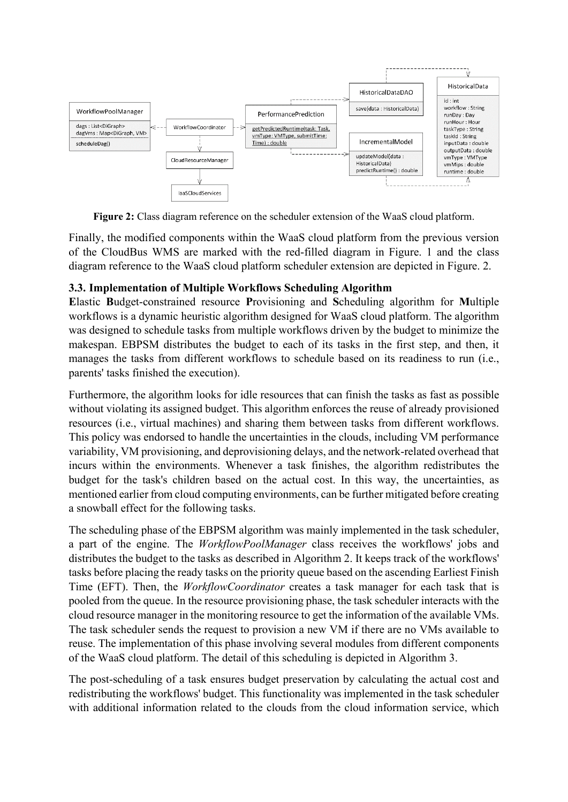

**Figure 2:** Class diagram reference on the scheduler extension of the WaaS cloud platform.

Finally, the modified components within the WaaS cloud platform from the previous version of the CloudBus WMS are marked with the red-filled diagram in Figure. 1 and the class diagram reference to the WaaS cloud platform scheduler extension are depicted in Figure. 2.

## **3.3. Implementation of Multiple Workflows Scheduling Algorithm**

**E**lastic **B**udget-constrained resource **P**rovisioning and **S**cheduling algorithm for **M**ultiple workflows is a dynamic heuristic algorithm designed for WaaS cloud platform. The algorithm was designed to schedule tasks from multiple workflows driven by the budget to minimize the makespan. EBPSM distributes the budget to each of its tasks in the first step, and then, it manages the tasks from different workflows to schedule based on its readiness to run (i.e., parents' tasks finished the execution).

Furthermore, the algorithm looks for idle resources that can finish the tasks as fast as possible without violating its assigned budget. This algorithm enforces the reuse of already provisioned resources (i.e., virtual machines) and sharing them between tasks from different workflows. This policy was endorsed to handle the uncertainties in the clouds, including VM performance variability, VM provisioning, and deprovisioning delays, and the network-related overhead that incurs within the environments. Whenever a task finishes, the algorithm redistributes the budget for the task's children based on the actual cost. In this way, the uncertainties, as mentioned earlier from cloud computing environments, can be further mitigated before creating a snowball effect for the following tasks.

The scheduling phase of the EBPSM algorithm was mainly implemented in the task scheduler, a part of the engine. The *WorkflowPoolManager* class receives the workflows' jobs and distributes the budget to the tasks as described in Algorithm 2. It keeps track of the workflows' tasks before placing the ready tasks on the priority queue based on the ascending Earliest Finish Time (EFT). Then, the *WorkflowCoordinator* creates a task manager for each task that is pooled from the queue. In the resource provisioning phase, the task scheduler interacts with the cloud resource manager in the monitoring resource to get the information of the available VMs. The task scheduler sends the request to provision a new VM if there are no VMs available to reuse. The implementation of this phase involving several modules from different components of the WaaS cloud platform. The detail of this scheduling is depicted in Algorithm 3.

The post-scheduling of a task ensures budget preservation by calculating the actual cost and redistributing the workflows' budget. This functionality was implemented in the task scheduler with additional information related to the clouds from the cloud information service, which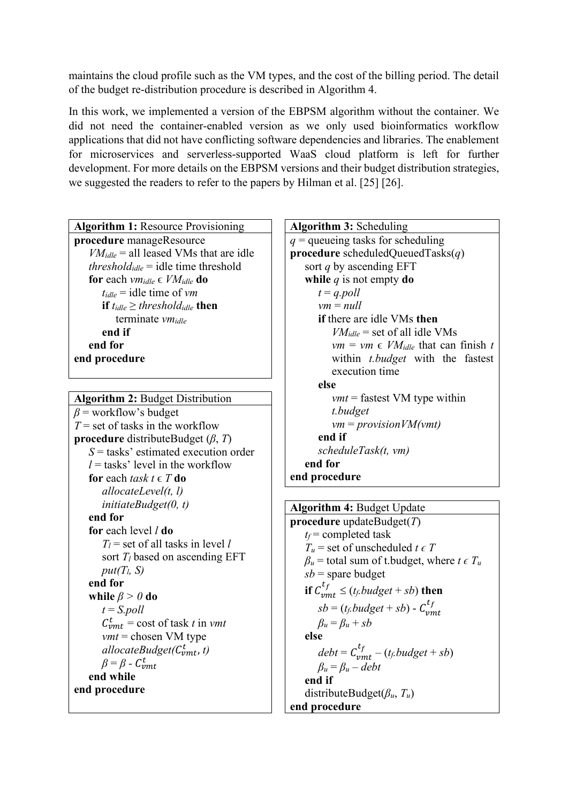maintains the cloud profile such as the VM types, and the cost of the billing period. The detail of the budget re-distribution procedure is described in Algorithm 4.

In this work, we implemented a version of the EBPSM algorithm without the container. We did not need the container-enabled version as we only used bioinformatics workflow applications that did not have conflicting software dependencies and libraries. The enablement for microservices and serverless-supported WaaS cloud platform is left for further development. For more details on the EBPSM versions and their budget distribution strategies, we suggested the readers to refer to the papers by Hilman et al. [25] [26].

**Algorithm 1:** Resource Provisioning **Algorithm 3:** Scheduling **procedure** manageResource *VMidle* = all leased VMs that are idle *threshold<sub>idle</sub>* = idle time threshold **for** each  $vm_{idle} \in VM_{idle}$  **do** *tidle* = idle time of *vm* **if** *tidle* ≥ *thresholdidle* **then** terminate *vmidle* **end if end for end procedure**

```
Algorithm 2: Budget Distribution
β = workflow's budget
T = set of tasks in the workflow
procedure distributeBudget (β, T)
   S = tasks' estimated execution order
   l = tasks' level in the workflow
   for each task t \in T do
      allocateLevel(t, l)
      initiateBudget(0, t)
   end for
   for each level l do
      T_l = set of all tasks in level l
      sort T_l based on ascending EFT
      put(T_l, S)end for
   while β > 0 do
      t = S<sub>1</sub>poll
      C_{vmt}^t = cost of task t in vmt
      vmt = chosen VM type
      allocateBudget(C_{vmt}, t)
      \beta = \beta - C_{vmt}^tend while
end procedure
```
 $q$  = queueing tasks for scheduling **procedure** scheduledQueuedTasks(*q*) sort *q* by ascending EFT **while** *q* is not empty **do**  $t = q$ .poll  $vm = null$ **if** there are idle VMs **then**  $VM_{idle}$  = set of all idle VMs  $vm = v$ *m*  $\in VM$ <sub>*idle*</sub> that can finish *t* within *t.budget* with the fastest execution time **else** *vmt* = fastest VM type within *t.budget vm* = *provisionVM(vmt)* **end if** *scheduleTask(t, vm)* **end for end procedure**

```
Algorithm 4: Budget Update
procedure updateBudget(T)
    t_f = completed task
    T<sub>u</sub> = set of unscheduled t \in Tβ<sub>u</sub> = total sum of t.budget, where t \epsilon T<sub>u</sub>
    sb = spare budget
    if C_{vmt}^{t} \leq (t_f.budget + sb) then
        sb = (t<sub>f</sub>.budget + sb) - C_{vmt}^{t}\beta_u = \beta_u + sb
    else
        debt = C<sup>2</sup> f / m t - (t_f.budget + sb)\beta_u = \beta_u - debtend if
    distributeBudget(βu, Tu)
end procedure
```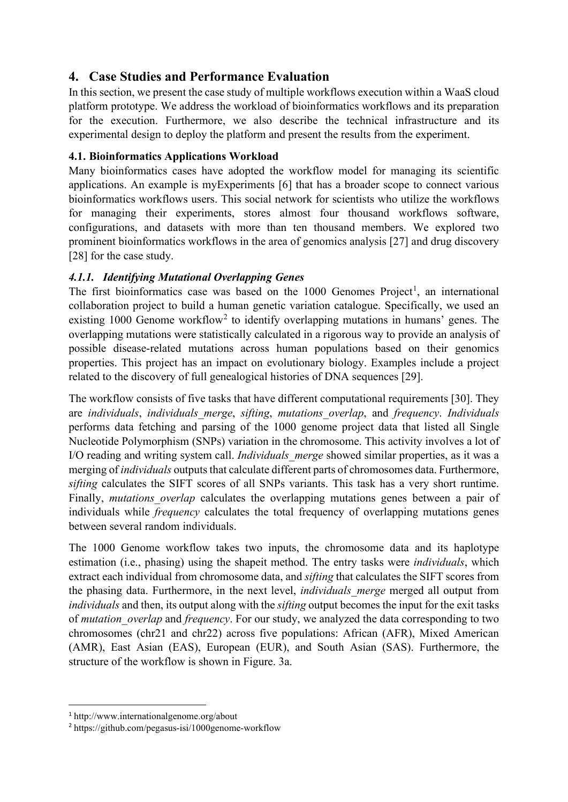# **4. Case Studies and Performance Evaluation**

In this section, we present the case study of multiple workflows execution within a WaaS cloud platform prototype. We address the workload of bioinformatics workflows and its preparation for the execution. Furthermore, we also describe the technical infrastructure and its experimental design to deploy the platform and present the results from the experiment.

## **4.1. Bioinformatics Applications Workload**

Many bioinformatics cases have adopted the workflow model for managing its scientific applications. An example is myExperiments [6] that has a broader scope to connect various bioinformatics workflows users. This social network for scientists who utilize the workflows for managing their experiments, stores almost four thousand workflows software, configurations, and datasets with more than ten thousand members. We explored two prominent bioinformatics workflows in the area of genomics analysis [27] and drug discovery [28] for the case study.

## *4.1.1. Identifying Mutational Overlapping Genes*

The first bioinformatics case was based on the  $1000$  $1000$  Genomes Project<sup>1</sup>, an international collaboration project to build a human genetic variation catalogue. Specifically, we used an existing 1000 Genome workflow<sup>[2](#page-8-1)</sup> to identify overlapping mutations in humans' genes. The overlapping mutations were statistically calculated in a rigorous way to provide an analysis of possible disease-related mutations across human populations based on their genomics properties. This project has an impact on evolutionary biology. Examples include a project related to the discovery of full genealogical histories of DNA sequences [29].

The workflow consists of five tasks that have different computational requirements [30]. They are *individuals*, *individuals\_merge*, *sifting*, *mutations\_overlap*, and *frequency*. *Individuals* performs data fetching and parsing of the 1000 genome project data that listed all Single Nucleotide Polymorphism (SNPs) variation in the chromosome. This activity involves a lot of I/O reading and writing system call. *Individuals\_merge* showed similar properties, as it was a merging of *individuals* outputs that calculate different parts of chromosomes data. Furthermore, *sifting* calculates the SIFT scores of all SNPs variants. This task has a very short runtime. Finally, *mutations overlap* calculates the overlapping mutations genes between a pair of individuals while *frequency* calculates the total frequency of overlapping mutations genes between several random individuals.

The 1000 Genome workflow takes two inputs, the chromosome data and its haplotype estimation (i.e., phasing) using the shapeit method. The entry tasks were *individuals*, which extract each individual from chromosome data, and *sifting* that calculates the SIFT scores from the phasing data. Furthermore, in the next level, *individuals\_merge* merged all output from *individuals* and then, its output along with the *sifting* output becomes the input for the exit tasks of *mutation\_overlap* and *frequency*. For our study, we analyzed the data corresponding to two chromosomes (chr21 and chr22) across five populations: African (AFR), Mixed American (AMR), East Asian (EAS), European (EUR), and South Asian (SAS). Furthermore, the structure of the workflow is shown in Figure. 3a.

<span id="page-8-0"></span><sup>1</sup> http://www.internationalgenome.org/about

<span id="page-8-1"></span><sup>2</sup> https://github.com/pegasus-isi/1000genome-workflow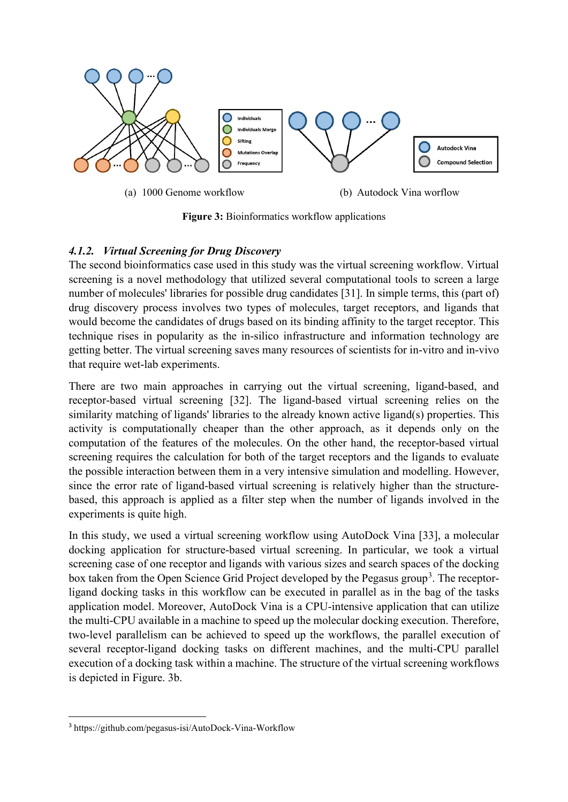

**Figure 3:** Bioinformatics workflow applications

#### *4.1.2. Virtual Screening for Drug Discovery*

The second bioinformatics case used in this study was the virtual screening workflow. Virtual screening is a novel methodology that utilized several computational tools to screen a large number of molecules' libraries for possible drug candidates [31]. In simple terms, this (part of) drug discovery process involves two types of molecules, target receptors, and ligands that would become the candidates of drugs based on its binding affinity to the target receptor. This technique rises in popularity as the in-silico infrastructure and information technology are getting better. The virtual screening saves many resources of scientists for in-vitro and in-vivo that require wet-lab experiments.

There are two main approaches in carrying out the virtual screening, ligand-based, and receptor-based virtual screening [32]. The ligand-based virtual screening relies on the similarity matching of ligands' libraries to the already known active ligand(s) properties. This activity is computationally cheaper than the other approach, as it depends only on the computation of the features of the molecules. On the other hand, the receptor-based virtual screening requires the calculation for both of the target receptors and the ligands to evaluate the possible interaction between them in a very intensive simulation and modelling. However, since the error rate of ligand-based virtual screening is relatively higher than the structurebased, this approach is applied as a filter step when the number of ligands involved in the experiments is quite high.

In this study, we used a virtual screening workflow using AutoDock Vina [33], a molecular docking application for structure-based virtual screening. In particular, we took a virtual screening case of one receptor and ligands with various sizes and search spaces of the docking box taken from the Open Science Grid Project developed by the Pegasus group<sup>[3](#page-9-0)</sup>. The receptorligand docking tasks in this workflow can be executed in parallel as in the bag of the tasks application model. Moreover, AutoDock Vina is a CPU-intensive application that can utilize the multi-CPU available in a machine to speed up the molecular docking execution. Therefore, two-level parallelism can be achieved to speed up the workflows, the parallel execution of several receptor-ligand docking tasks on different machines, and the multi-CPU parallel execution of a docking task within a machine. The structure of the virtual screening workflows is depicted in Figure. 3b.

<span id="page-9-0"></span><sup>3</sup> https://github.com/pegasus-isi/AutoDock-Vina-Workflow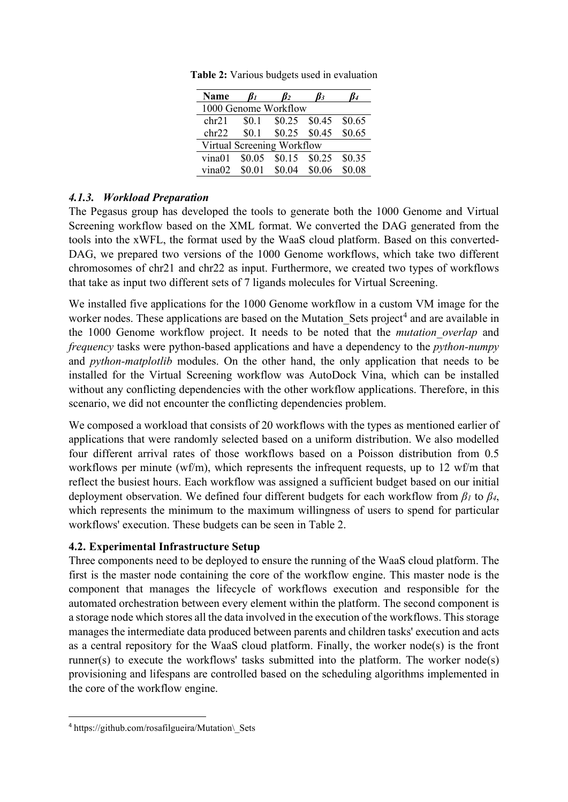| Name                       | $\mathcal{B}_I$ |        | $\mathbf{B}_3$ |        |  |
|----------------------------|-----------------|--------|----------------|--------|--|
| 1000 Genome Workflow       |                 |        |                |        |  |
| chr21                      | \$0.1           | \$0.25 | \$0.45         | \$0.65 |  |
| chr22                      | \$0.1           | \$0.25 | \$0.45         | \$0.65 |  |
| Virtual Screening Workflow |                 |        |                |        |  |
| vina01                     | \$0.05          | \$0.15 | \$0.25         | \$0.35 |  |
| vina <sub>02</sub>         | \$0.01          | \$0.04 | \$0.06         | \$0.08 |  |

**Table 2:** Various budgets used in evaluation

# *4.1.3. Workload Preparation*

The Pegasus group has developed the tools to generate both the 1000 Genome and Virtual Screening workflow based on the XML format. We converted the DAG generated from the tools into the xWFL, the format used by the WaaS cloud platform. Based on this converted-DAG, we prepared two versions of the 1000 Genome workflows, which take two different chromosomes of chr21 and chr22 as input. Furthermore, we created two types of workflows that take as input two different sets of 7 ligands molecules for Virtual Screening.

We installed five applications for the 1000 Genome workflow in a custom VM image for the worker nodes. These applications are based on the Mutation Sets project<sup>[4](#page-10-0)</sup> and are available in the 1000 Genome workflow project. It needs to be noted that the *mutation\_overlap* and *frequency* tasks were python-based applications and have a dependency to the *python-numpy* and *python-matplotlib* modules. On the other hand, the only application that needs to be installed for the Virtual Screening workflow was AutoDock Vina, which can be installed without any conflicting dependencies with the other workflow applications. Therefore, in this scenario, we did not encounter the conflicting dependencies problem.

We composed a workload that consists of 20 workflows with the types as mentioned earlier of applications that were randomly selected based on a uniform distribution. We also modelled four different arrival rates of those workflows based on a Poisson distribution from 0.5 workflows per minute (wf/m), which represents the infrequent requests, up to 12 wf/m that reflect the busiest hours. Each workflow was assigned a sufficient budget based on our initial deployment observation. We defined four different budgets for each workflow from *β<sup>1</sup>* to *β4*, which represents the minimum to the maximum willingness of users to spend for particular workflows' execution. These budgets can be seen in Table 2.

# **4.2. Experimental Infrastructure Setup**

Three components need to be deployed to ensure the running of the WaaS cloud platform. The first is the master node containing the core of the workflow engine. This master node is the component that manages the lifecycle of workflows execution and responsible for the automated orchestration between every element within the platform. The second component is a storage node which stores all the data involved in the execution of the workflows. This storage manages the intermediate data produced between parents and children tasks' execution and acts as a central repository for the WaaS cloud platform. Finally, the worker node(s) is the front runner(s) to execute the workflows' tasks submitted into the platform. The worker node(s) provisioning and lifespans are controlled based on the scheduling algorithms implemented in the core of the workflow engine.

<span id="page-10-0"></span><sup>&</sup>lt;sup>4</sup> https://github.com/rosafilgueira/Mutation\ Sets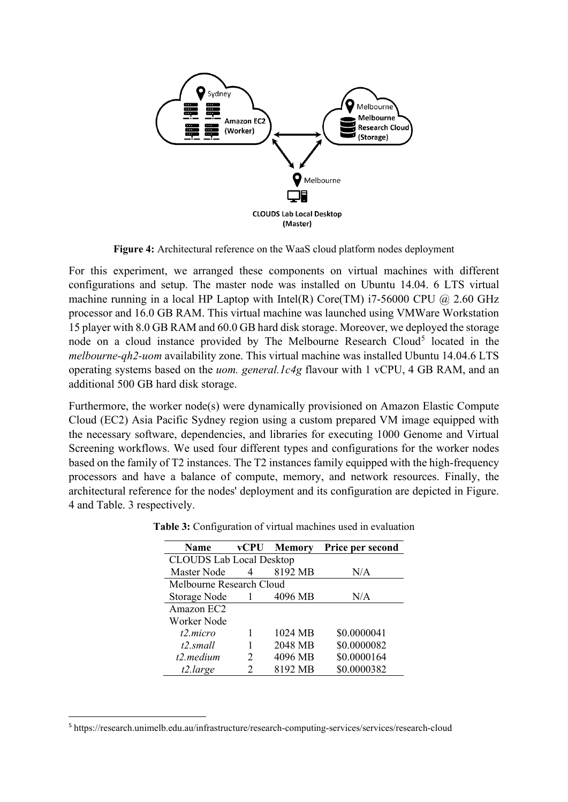

**Figure 4:** Architectural reference on the WaaS cloud platform nodes deployment

For this experiment, we arranged these components on virtual machines with different configurations and setup. The master node was installed on Ubuntu 14.04. 6 LTS virtual machine running in a local HP Laptop with Intel(R) Core(TM)  $i7-56000$  CPU  $@$  2.60 GHz processor and 16.0 GB RAM. This virtual machine was launched using VMWare Workstation 15 player with 8.0 GB RAM and 60.0 GB hard disk storage. Moreover, we deployed the storage node on a cloud instance provided by The Melbourne Research Cloud<sup>[5](#page-11-0)</sup> located in the *melbourne-qh2-uom* availability zone. This virtual machine was installed Ubuntu 14.04.6 LTS operating systems based on the *uom. general.1c4g* flavour with 1 vCPU, 4 GB RAM, and an additional 500 GB hard disk storage.

Furthermore, the worker node(s) were dynamically provisioned on Amazon Elastic Compute Cloud (EC2) Asia Pacific Sydney region using a custom prepared VM image equipped with the necessary software, dependencies, and libraries for executing 1000 Genome and Virtual Screening workflows. We used four different types and configurations for the worker nodes based on the family of T2 instances. The T2 instances family equipped with the high-frequency processors and have a balance of compute, memory, and network resources. Finally, the architectural reference for the nodes' deployment and its configuration are depicted in Figure. 4 and Table. 3 respectively.

| <b>Name</b>                     | <b>vCPU</b>   | <b>Memory</b> | Price per second |  |  |
|---------------------------------|---------------|---------------|------------------|--|--|
| <b>CLOUDS Lab Local Desktop</b> |               |               |                  |  |  |
| Master Node                     |               | 8192 MB       | N/A              |  |  |
| Melbourne Research Cloud        |               |               |                  |  |  |
| <b>Storage Node</b>             | $\mathbf{1}$  | 4096 MB       | N/A              |  |  |
| Amazon EC2                      |               |               |                  |  |  |
| Worker Node                     |               |               |                  |  |  |
| $t2$ micro                      |               | 1024 MB       | \$0.0000041      |  |  |
| $t2$ .small                     |               | 2048 MB       | \$0.0000082      |  |  |
| $t2$ . medium                   | $\mathcal{D}$ | 4096 MB       | \$0.0000164      |  |  |
| t2. large                       |               | 8192 MB       | \$0.0000382      |  |  |

**Table 3:** Configuration of virtual machines used in evaluation

<span id="page-11-0"></span><sup>5</sup> https://research.unimelb.edu.au/infrastructure/research-computing-services/services/research-cloud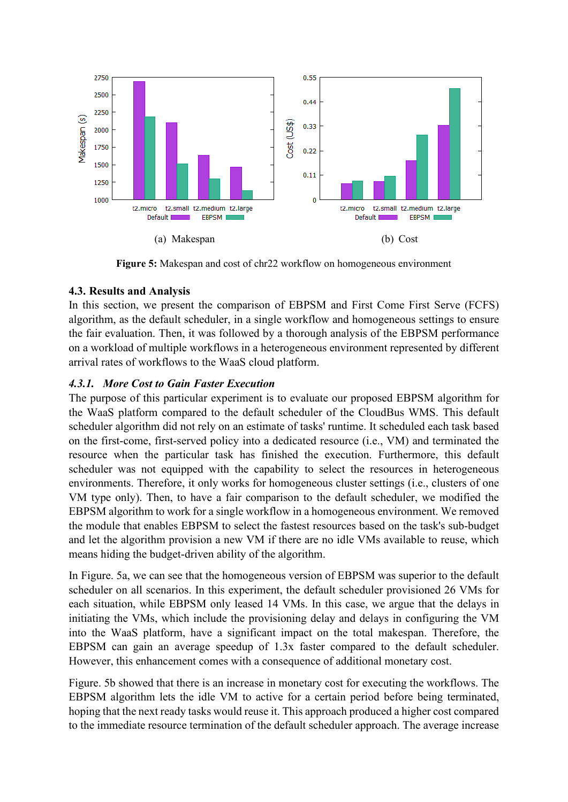

**Figure 5:** Makespan and cost of chr22 workflow on homogeneous environment

# **4.3. Results and Analysis**

In this section, we present the comparison of EBPSM and First Come First Serve (FCFS) algorithm, as the default scheduler, in a single workflow and homogeneous settings to ensure the fair evaluation. Then, it was followed by a thorough analysis of the EBPSM performance on a workload of multiple workflows in a heterogeneous environment represented by different arrival rates of workflows to the WaaS cloud platform.

# *4.3.1. More Cost to Gain Faster Execution*

The purpose of this particular experiment is to evaluate our proposed EBPSM algorithm for the WaaS platform compared to the default scheduler of the CloudBus WMS. This default scheduler algorithm did not rely on an estimate of tasks' runtime. It scheduled each task based on the first-come, first-served policy into a dedicated resource (i.e., VM) and terminated the resource when the particular task has finished the execution. Furthermore, this default scheduler was not equipped with the capability to select the resources in heterogeneous environments. Therefore, it only works for homogeneous cluster settings (i.e., clusters of one VM type only). Then, to have a fair comparison to the default scheduler, we modified the EBPSM algorithm to work for a single workflow in a homogeneous environment. We removed the module that enables EBPSM to select the fastest resources based on the task's sub-budget and let the algorithm provision a new VM if there are no idle VMs available to reuse, which means hiding the budget-driven ability of the algorithm.

In Figure. 5a, we can see that the homogeneous version of EBPSM was superior to the default scheduler on all scenarios. In this experiment, the default scheduler provisioned 26 VMs for each situation, while EBPSM only leased 14 VMs. In this case, we argue that the delays in initiating the VMs, which include the provisioning delay and delays in configuring the VM into the WaaS platform, have a significant impact on the total makespan. Therefore, the EBPSM can gain an average speedup of 1.3x faster compared to the default scheduler. However, this enhancement comes with a consequence of additional monetary cost.

Figure. 5b showed that there is an increase in monetary cost for executing the workflows. The EBPSM algorithm lets the idle VM to active for a certain period before being terminated, hoping that the next ready tasks would reuse it. This approach produced a higher cost compared to the immediate resource termination of the default scheduler approach. The average increase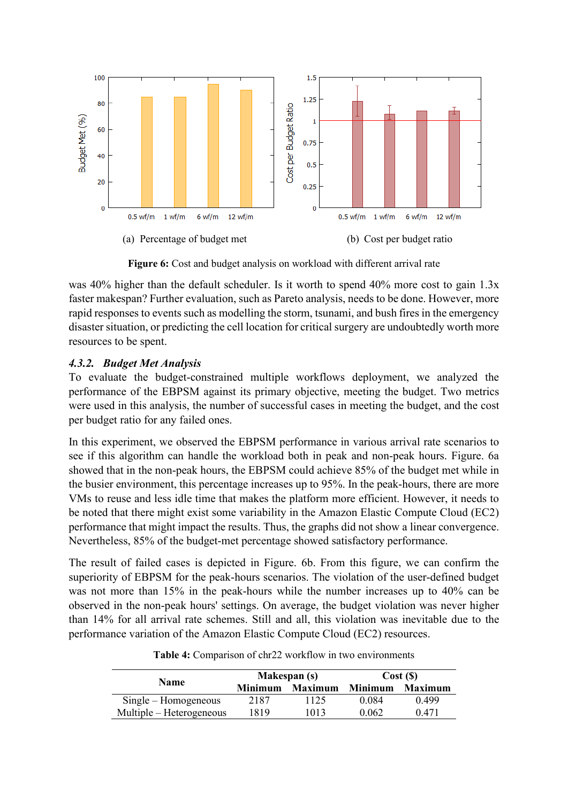

**Figure 6:** Cost and budget analysis on workload with different arrival rate

was 40% higher than the default scheduler. Is it worth to spend 40% more cost to gain 1.3x faster makespan? Further evaluation, such as Pareto analysis, needs to be done. However, more rapid responses to events such as modelling the storm, tsunami, and bush fires in the emergency disaster situation, or predicting the cell location for critical surgery are undoubtedly worth more resources to be spent.

# *4.3.2. Budget Met Analysis*

To evaluate the budget-constrained multiple workflows deployment, we analyzed the performance of the EBPSM against its primary objective, meeting the budget. Two metrics were used in this analysis, the number of successful cases in meeting the budget, and the cost per budget ratio for any failed ones.

In this experiment, we observed the EBPSM performance in various arrival rate scenarios to see if this algorithm can handle the workload both in peak and non-peak hours. Figure. 6a showed that in the non-peak hours, the EBPSM could achieve 85% of the budget met while in the busier environment, this percentage increases up to 95%. In the peak-hours, there are more VMs to reuse and less idle time that makes the platform more efficient. However, it needs to be noted that there might exist some variability in the Amazon Elastic Compute Cloud (EC2) performance that might impact the results. Thus, the graphs did not show a linear convergence. Nevertheless, 85% of the budget-met percentage showed satisfactory performance.

The result of failed cases is depicted in Figure. 6b. From this figure, we can confirm the superiority of EBPSM for the peak-hours scenarios. The violation of the user-defined budget was not more than 15% in the peak-hours while the number increases up to 40% can be observed in the non-peak hours' settings. On average, the budget violation was never higher than 14% for all arrival rate schemes. Still and all, this violation was inevitable due to the performance variation of the Amazon Elastic Compute Cloud (EC2) resources.

| <b>Name</b>              |         | <b>Makespan</b> (s) | Cost(S) |                |  |
|--------------------------|---------|---------------------|---------|----------------|--|
|                          | Minimum | <b>Maximum</b>      | Minimum | <b>Maximum</b> |  |
| $Single - Homogeneous$   | 2187    | 1125                | 0.084   | 0.499          |  |
| Multiple – Heterogeneous | 1819    | 1013                | 0.062   | 0.471          |  |

**Table 4:** Comparison of chr22 workflow in two environments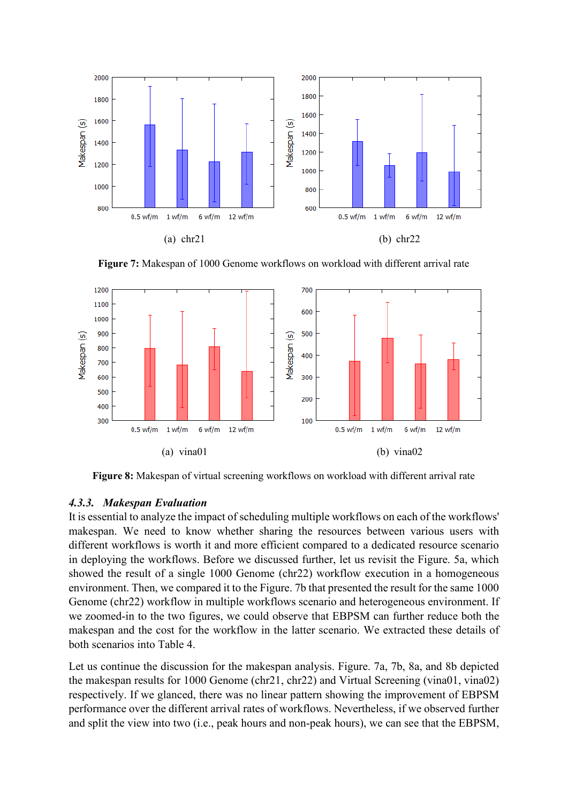



**Figure 7:** Makespan of 1000 Genome workflows on workload with different arrival rate

**Figure 8:** Makespan of virtual screening workflows on workload with different arrival rate

#### *4.3.3. Makespan Evaluation*

It is essential to analyze the impact of scheduling multiple workflows on each of the workflows' makespan. We need to know whether sharing the resources between various users with different workflows is worth it and more efficient compared to a dedicated resource scenario in deploying the workflows. Before we discussed further, let us revisit the Figure. 5a, which showed the result of a single 1000 Genome (chr22) workflow execution in a homogeneous environment. Then, we compared it to the Figure. 7b that presented the result for the same 1000 Genome (chr22) workflow in multiple workflows scenario and heterogeneous environment. If we zoomed-in to the two figures, we could observe that EBPSM can further reduce both the makespan and the cost for the workflow in the latter scenario. We extracted these details of both scenarios into Table 4.

Let us continue the discussion for the makespan analysis. Figure. 7a, 7b, 8a, and 8b depicted the makespan results for 1000 Genome (chr21, chr22) and Virtual Screening (vina01, vina02) respectively. If we glanced, there was no linear pattern showing the improvement of EBPSM performance over the different arrival rates of workflows. Nevertheless, if we observed further and split the view into two (i.e., peak hours and non-peak hours), we can see that the EBPSM,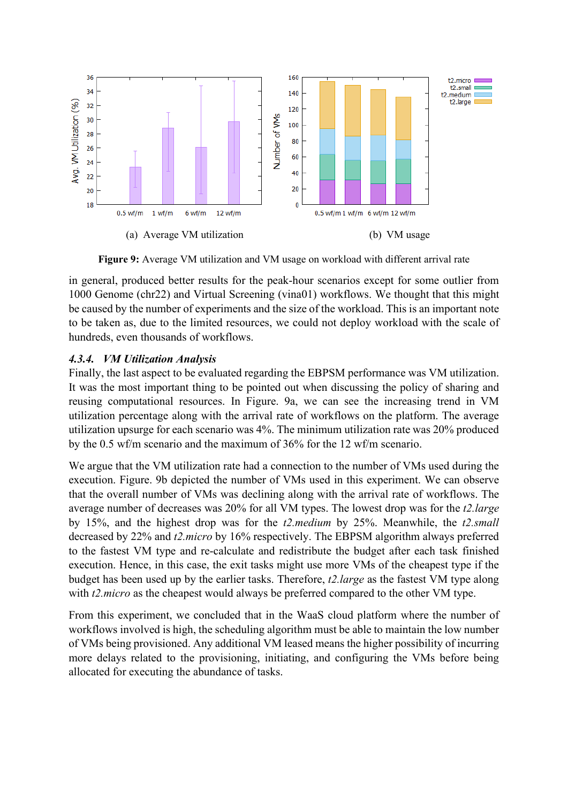

**Figure 9:** Average VM utilization and VM usage on workload with different arrival rate

in general, produced better results for the peak-hour scenarios except for some outlier from 1000 Genome (chr22) and Virtual Screening (vina01) workflows. We thought that this might be caused by the number of experiments and the size of the workload. This is an important note to be taken as, due to the limited resources, we could not deploy workload with the scale of hundreds, even thousands of workflows.

## *4.3.4. VM Utilization Analysis*

Finally, the last aspect to be evaluated regarding the EBPSM performance was VM utilization. It was the most important thing to be pointed out when discussing the policy of sharing and reusing computational resources. In Figure. 9a, we can see the increasing trend in VM utilization percentage along with the arrival rate of workflows on the platform. The average utilization upsurge for each scenario was 4%. The minimum utilization rate was 20% produced by the 0.5 wf/m scenario and the maximum of 36% for the 12 wf/m scenario.

We argue that the VM utilization rate had a connection to the number of VMs used during the execution. Figure. 9b depicted the number of VMs used in this experiment. We can observe that the overall number of VMs was declining along with the arrival rate of workflows. The average number of decreases was 20% for all VM types. The lowest drop was for the *t2.large* by 15%, and the highest drop was for the *t2.medium* by 25%. Meanwhile, the *t2.small* decreased by 22% and *t2.micro* by 16% respectively. The EBPSM algorithm always preferred to the fastest VM type and re-calculate and redistribute the budget after each task finished execution. Hence, in this case, the exit tasks might use more VMs of the cheapest type if the budget has been used up by the earlier tasks. Therefore, *t2.large* as the fastest VM type along with *t2.micro* as the cheapest would always be preferred compared to the other VM type.

From this experiment, we concluded that in the WaaS cloud platform where the number of workflows involved is high, the scheduling algorithm must be able to maintain the low number of VMs being provisioned. Any additional VM leased means the higher possibility of incurring more delays related to the provisioning, initiating, and configuring the VMs before being allocated for executing the abundance of tasks.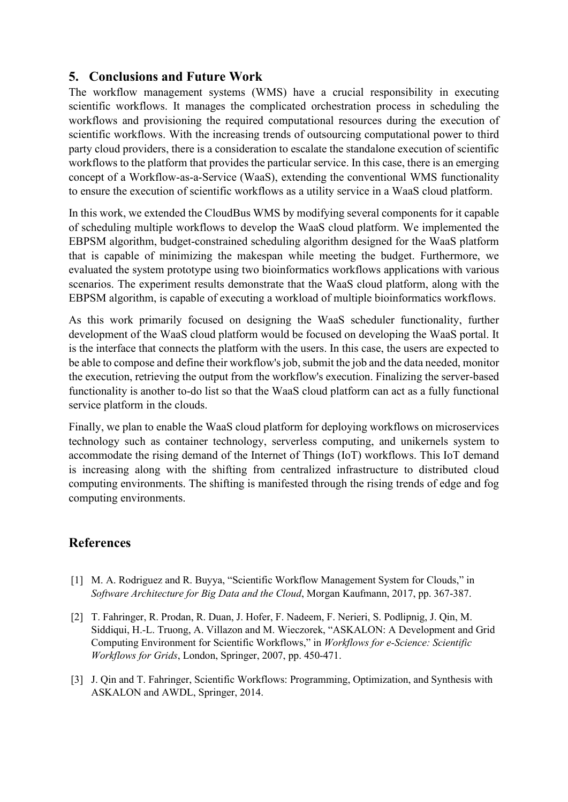# **5. Conclusions and Future Work**

The workflow management systems (WMS) have a crucial responsibility in executing scientific workflows. It manages the complicated orchestration process in scheduling the workflows and provisioning the required computational resources during the execution of scientific workflows. With the increasing trends of outsourcing computational power to third party cloud providers, there is a consideration to escalate the standalone execution of scientific workflows to the platform that provides the particular service. In this case, there is an emerging concept of a Workflow-as-a-Service (WaaS), extending the conventional WMS functionality to ensure the execution of scientific workflows as a utility service in a WaaS cloud platform.

In this work, we extended the CloudBus WMS by modifying several components for it capable of scheduling multiple workflows to develop the WaaS cloud platform. We implemented the EBPSM algorithm, budget-constrained scheduling algorithm designed for the WaaS platform that is capable of minimizing the makespan while meeting the budget. Furthermore, we evaluated the system prototype using two bioinformatics workflows applications with various scenarios. The experiment results demonstrate that the WaaS cloud platform, along with the EBPSM algorithm, is capable of executing a workload of multiple bioinformatics workflows.

As this work primarily focused on designing the WaaS scheduler functionality, further development of the WaaS cloud platform would be focused on developing the WaaS portal. It is the interface that connects the platform with the users. In this case, the users are expected to be able to compose and define their workflow's job, submit the job and the data needed, monitor the execution, retrieving the output from the workflow's execution. Finalizing the server-based functionality is another to-do list so that the WaaS cloud platform can act as a fully functional service platform in the clouds.

Finally, we plan to enable the WaaS cloud platform for deploying workflows on microservices technology such as container technology, serverless computing, and unikernels system to accommodate the rising demand of the Internet of Things (IoT) workflows. This IoT demand is increasing along with the shifting from centralized infrastructure to distributed cloud computing environments. The shifting is manifested through the rising trends of edge and fog computing environments.

# **References**

- [1] M. A. Rodriguez and R. Buyya, "Scientific Workflow Management System for Clouds," in *Software Architecture for Big Data and the Cloud*, Morgan Kaufmann, 2017, pp. 367-387.
- [2] T. Fahringer, R. Prodan, R. Duan, J. Hofer, F. Nadeem, F. Nerieri, S. Podlipnig, J. Qin, M. Siddiqui, H.-L. Truong, A. Villazon and M. Wieczorek, "ASKALON: A Development and Grid Computing Environment for Scientific Workflows," in *Workflows for e-Science: Scientific Workflows for Grids*, London, Springer, 2007, pp. 450-471.
- [3] J. Qin and T. Fahringer, Scientific Workflows: Programming, Optimization, and Synthesis with ASKALON and AWDL, Springer, 2014.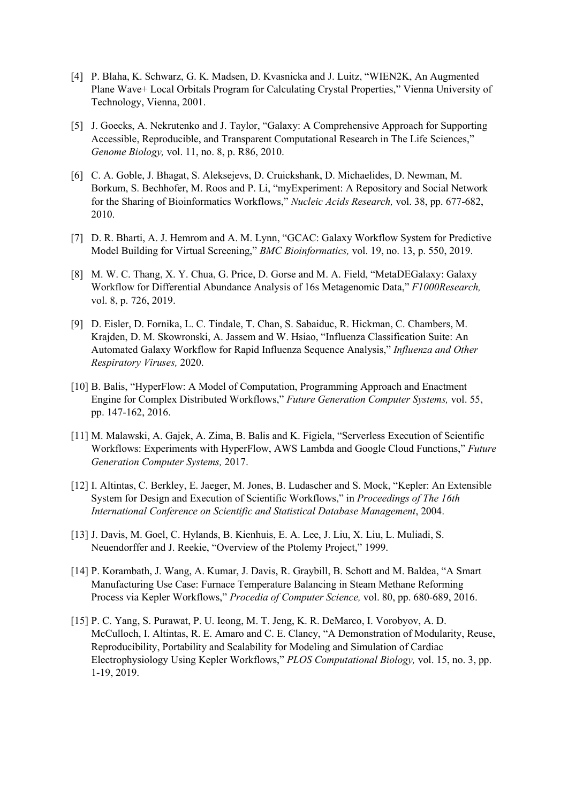- [4] P. Blaha, K. Schwarz, G. K. Madsen, D. Kvasnicka and J. Luitz, "WIEN2K, An Augmented Plane Wave+ Local Orbitals Program for Calculating Crystal Properties," Vienna University of Technology, Vienna, 2001.
- [5] J. Goecks, A. Nekrutenko and J. Taylor, "Galaxy: A Comprehensive Approach for Supporting Accessible, Reproducible, and Transparent Computational Research in The Life Sciences," *Genome Biology,* vol. 11, no. 8, p. R86, 2010.
- [6] C. A. Goble, J. Bhagat, S. Aleksejevs, D. Cruickshank, D. Michaelides, D. Newman, M. Borkum, S. Bechhofer, M. Roos and P. Li, "myExperiment: A Repository and Social Network for the Sharing of Bioinformatics Workflows," *Nucleic Acids Research,* vol. 38, pp. 677-682, 2010.
- [7] D. R. Bharti, A. J. Hemrom and A. M. Lynn, "GCAC: Galaxy Workflow System for Predictive Model Building for Virtual Screening," *BMC Bioinformatics,* vol. 19, no. 13, p. 550, 2019.
- [8] M. W. C. Thang, X. Y. Chua, G. Price, D. Gorse and M. A. Field, "MetaDEGalaxy: Galaxy Workflow for Differential Abundance Analysis of 16s Metagenomic Data," *F1000Research,*  vol. 8, p. 726, 2019.
- [9] D. Eisler, D. Fornika, L. C. Tindale, T. Chan, S. Sabaiduc, R. Hickman, C. Chambers, M. Krajden, D. M. Skowronski, A. Jassem and W. Hsiao, "Influenza Classification Suite: An Automated Galaxy Workflow for Rapid Influenza Sequence Analysis," *Influenza and Other Respiratory Viruses,* 2020.
- [10] B. Balis, "HyperFlow: A Model of Computation, Programming Approach and Enactment Engine for Complex Distributed Workflows," *Future Generation Computer Systems,* vol. 55, pp. 147-162, 2016.
- [11] M. Malawski, A. Gajek, A. Zima, B. Balis and K. Figiela, "Serverless Execution of Scientific Workflows: Experiments with HyperFlow, AWS Lambda and Google Cloud Functions," *Future Generation Computer Systems,* 2017.
- [12] I. Altintas, C. Berkley, E. Jaeger, M. Jones, B. Ludascher and S. Mock, "Kepler: An Extensible System for Design and Execution of Scientific Workflows," in *Proceedings of The 16th International Conference on Scientific and Statistical Database Management*, 2004.
- [13] J. Davis, M. Goel, C. Hylands, B. Kienhuis, E. A. Lee, J. Liu, X. Liu, L. Muliadi, S. Neuendorffer and J. Reekie, "Overview of the Ptolemy Project," 1999.
- [14] P. Korambath, J. Wang, A. Kumar, J. Davis, R. Graybill, B. Schott and M. Baldea, "A Smart Manufacturing Use Case: Furnace Temperature Balancing in Steam Methane Reforming Process via Kepler Workflows," *Procedia of Computer Science,* vol. 80, pp. 680-689, 2016.
- [15] P. C. Yang, S. Purawat, P. U. Ieong, M. T. Jeng, K. R. DeMarco, I. Vorobyov, A. D. McCulloch, I. Altintas, R. E. Amaro and C. E. Clancy, "A Demonstration of Modularity, Reuse, Reproducibility, Portability and Scalability for Modeling and Simulation of Cardiac Electrophysiology Using Kepler Workflows," *PLOS Computational Biology,* vol. 15, no. 3, pp. 1-19, 2019.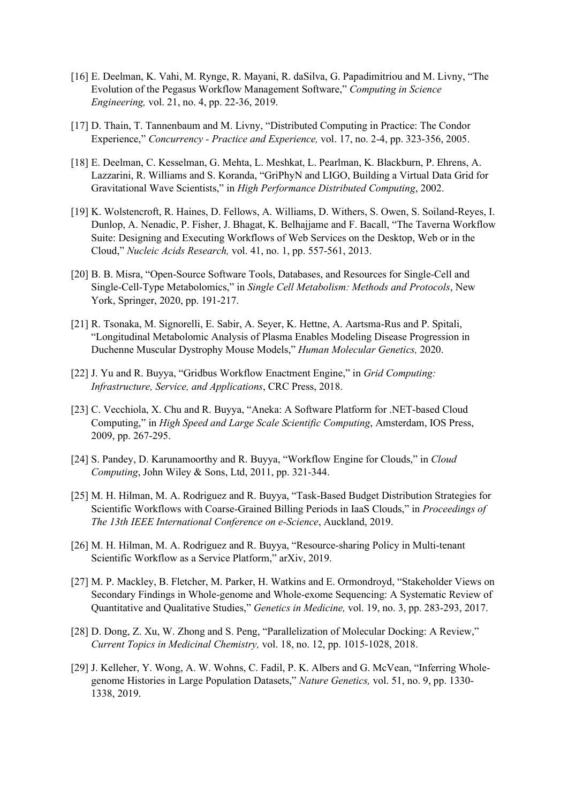- [16] E. Deelman, K. Vahi, M. Rynge, R. Mayani, R. daSilva, G. Papadimitriou and M. Livny, "The Evolution of the Pegasus Workflow Management Software," *Computing in Science Engineering,* vol. 21, no. 4, pp. 22-36, 2019.
- [17] D. Thain, T. Tannenbaum and M. Livny, "Distributed Computing in Practice: The Condor Experience," *Concurrency - Practice and Experience,* vol. 17, no. 2-4, pp. 323-356, 2005.
- [18] E. Deelman, C. Kesselman, G. Mehta, L. Meshkat, L. Pearlman, K. Blackburn, P. Ehrens, A. Lazzarini, R. Williams and S. Koranda, "GriPhyN and LIGO, Building a Virtual Data Grid for Gravitational Wave Scientists," in *High Performance Distributed Computing*, 2002.
- [19] K. Wolstencroft, R. Haines, D. Fellows, A. Williams, D. Withers, S. Owen, S. Soiland-Reyes, I. Dunlop, A. Nenadic, P. Fisher, J. Bhagat, K. Belhajjame and F. Bacall, "The Taverna Workflow Suite: Designing and Executing Workflows of Web Services on the Desktop, Web or in the Cloud," *Nucleic Acids Research,* vol. 41, no. 1, pp. 557-561, 2013.
- [20] B. B. Misra, "Open-Source Software Tools, Databases, and Resources for Single-Cell and Single-Cell-Type Metabolomics," in *Single Cell Metabolism: Methods and Protocols*, New York, Springer, 2020, pp. 191-217.
- [21] R. Tsonaka, M. Signorelli, E. Sabir, A. Seyer, K. Hettne, A. Aartsma-Rus and P. Spitali, "Longitudinal Metabolomic Analysis of Plasma Enables Modeling Disease Progression in Duchenne Muscular Dystrophy Mouse Models," *Human Molecular Genetics,* 2020.
- [22] J. Yu and R. Buyya, "Gridbus Workflow Enactment Engine," in *Grid Computing: Infrastructure, Service, and Applications*, CRC Press, 2018.
- [23] C. Vecchiola, X. Chu and R. Buyya, "Aneka: A Software Platform for .NET-based Cloud Computing," in *High Speed and Large Scale Scientific Computing*, Amsterdam, IOS Press, 2009, pp. 267-295.
- [24] S. Pandey, D. Karunamoorthy and R. Buyya, "Workflow Engine for Clouds," in *Cloud Computing*, John Wiley & Sons, Ltd, 2011, pp. 321-344.
- [25] M. H. Hilman, M. A. Rodriguez and R. Buyya, "Task-Based Budget Distribution Strategies for Scientific Workflows with Coarse-Grained Billing Periods in IaaS Clouds," in *Proceedings of The 13th IEEE International Conference on e-Science*, Auckland, 2019.
- [26] M. H. Hilman, M. A. Rodriguez and R. Buyya, "Resource-sharing Policy in Multi-tenant Scientific Workflow as a Service Platform," arXiv, 2019.
- [27] M. P. Mackley, B. Fletcher, M. Parker, H. Watkins and E. Ormondroyd, "Stakeholder Views on Secondary Findings in Whole-genome and Whole-exome Sequencing: A Systematic Review of Quantitative and Qualitative Studies," *Genetics in Medicine,* vol. 19, no. 3, pp. 283-293, 2017.
- [28] D. Dong, Z. Xu, W. Zhong and S. Peng, "Parallelization of Molecular Docking: A Review," *Current Topics in Medicinal Chemistry,* vol. 18, no. 12, pp. 1015-1028, 2018.
- [29] J. Kelleher, Y. Wong, A. W. Wohns, C. Fadil, P. K. Albers and G. McVean, "Inferring Wholegenome Histories in Large Population Datasets," *Nature Genetics,* vol. 51, no. 9, pp. 1330- 1338, 2019.